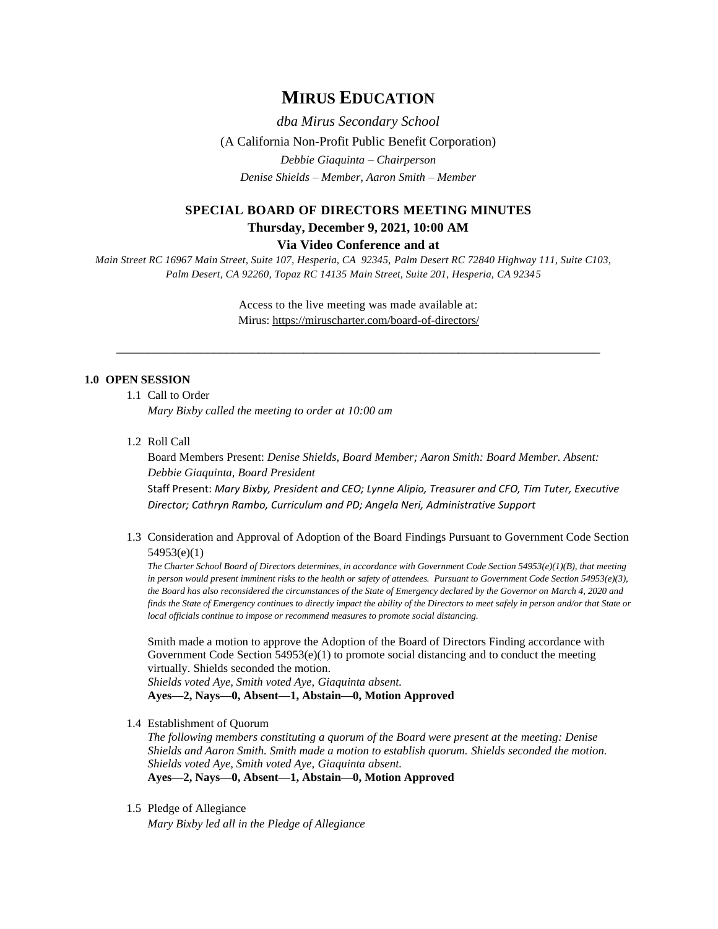# **MIRUS EDUCATION**

*dba Mirus Secondary School* (A California Non-Profit Public Benefit Corporation) *Debbie Giaquinta – Chairperson Denise Shields – Member, Aaron Smith – Member*

# **SPECIAL BOARD OF DIRECTORS MEETING MINUTES Thursday, December 9, 2021, 10:00 AM**

#### **Via Video Conference and at**

*Main Street RC 16967 Main Street, Suite 107, Hesperia, CA 92345, Palm Desert RC 72840 Highway 111, Suite C103, Palm Desert, CA 92260, Topaz RC 14135 Main Street, Suite 201, Hesperia, CA 92345*

> Access to the live meeting was made available at: Mirus:<https://miruscharter.com/board-of-directors/>

\_\_\_\_\_\_\_\_\_\_\_\_\_\_\_\_\_\_\_\_\_\_\_\_\_\_\_\_\_\_\_\_\_\_\_\_\_\_\_\_\_\_\_\_\_\_\_\_\_\_\_\_\_\_\_\_\_\_\_\_\_\_\_\_\_\_\_\_\_\_\_\_\_\_\_

### **1.0 OPEN SESSION**

1.1 Call to Order

*Mary Bixby called the meeting to order at 10:00 am*

1.2 Roll Call

Board Members Present: *Denise Shields, Board Member; Aaron Smith: Board Member. Absent: Debbie Giaquinta, Board President* Staff Present: *Mary Bixby, President and CEO; Lynne Alipio, Treasurer and CFO, Tim Tuter, Executive Director; Cathryn Rambo, Curriculum and PD; Angela Neri, Administrative Support*

1.3 Consideration and Approval of Adoption of the Board Findings Pursuant to Government Code Section 54953(e)(1)

*The Charter School Board of Directors determines, in accordance with Government Code Section 54953(e)(1)(B), that meeting in person would present imminent risks to the health or safety of attendees. Pursuant to Government Code Section 54953(e)(3), the Board has also reconsidered the circumstances of the State of Emergency declared by the Governor on March 4, 2020 and finds the State of Emergency continues to directly impact the ability of the Directors to meet safely in person and/or that State or local officials continue to impose or recommend measures to promote social distancing.*

Smith made a motion to approve the Adoption of the Board of Directors Finding accordance with Government Code Section  $54953(e)(1)$  to promote social distancing and to conduct the meeting virtually. Shields seconded the motion.

*Shields voted Aye, Smith voted Aye, Giaquinta absent.*  **Ayes—2, Nays—0, Absent—1, Abstain—0, Motion Approved**

1.4 Establishment of Quorum

*The following members constituting a quorum of the Board were present at the meeting: Denise Shields and Aaron Smith. Smith made a motion to establish quorum. Shields seconded the motion. Shields voted Aye, Smith voted Aye, Giaquinta absent.*  **Ayes—2, Nays—0, Absent—1, Abstain—0, Motion Approved**

1.5 Pledge of Allegiance

*Mary Bixby led all in the Pledge of Allegiance*